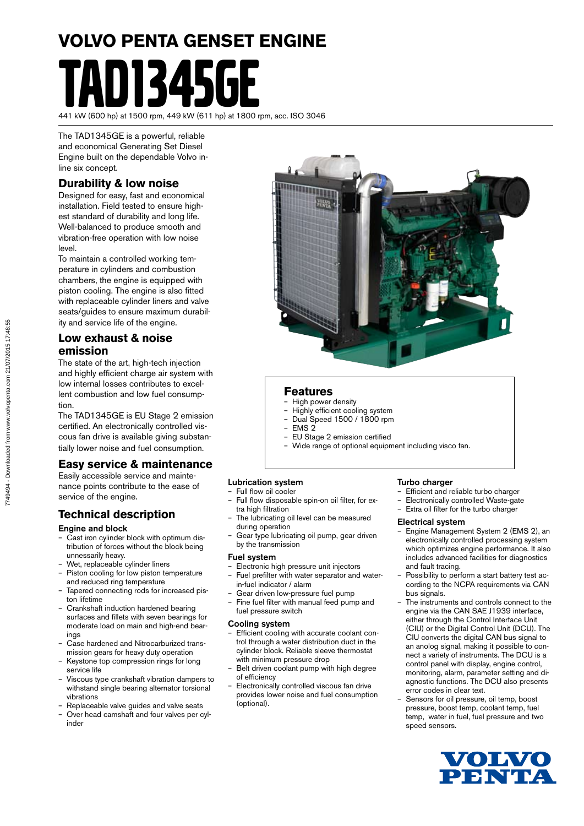# **VOLVO PENTA GENSET ENGINE** 11345GF

441 kW (600 hp) at 1500 rpm, 449 kW (611 hp) at 1800 rpm, acc. ISO 3046

The TAD1345GE is a powerful, reliable and economical Generating Set Diesel Engine built on the dependable Volvo inline six concept.

#### **Durability & low noise**

Designed for easy, fast and economical installation. Field tested to ensure highest standard of durability and long life. Well-balanced to produce smooth and vibration-free operation with low noise level.

To maintain a controlled working temperature in cylinders and combustion chambers, the engine is equipped with piston cooling. The engine is also fitted with replaceable cylinder liners and valve seats/guides to ensure maximum durability and service life of the engine.

#### **Low exhaust & noise emission**

The state of the art, high-tech injection and highly efficient charge air system with low internal losses contributes to excellent combustion and low fuel consumption.

The TAD1345GE is EU Stage 2 emission certified. An electronically controlled viscous fan drive is available giving substantially lower noise and fuel consumption.

#### **Easy service & maintenance**

Easily accessible service and maintenance points contribute to the ease of service of the engine.

#### **Technical description**

#### Engine and block

- Cast iron cylinder block with optimum distribution of forces without the block being unnessarily heavy.
- Wet, replaceable cylinder liners
- Piston cooling for low piston temperature and reduced ring temperature
- Tapered connecting rods for increased piston lifetime
- Crankshaft induction hardened bearing surfaces and fillets with seven bearings for moderate load on main and high-end bearings
- Case hardened and Nitrocarburized transmission gears for heavy duty operation
- Keystone top compression rings for long service life
- Viscous type crankshaft vibration dampers to withstand single bearing alternator torsional vibrations
- Replaceable valve guides and valve seats
- Over head camshaft and four valves per cylinder



#### **Features**

- High power density
- Highly efficient cooling system – Dual Speed 1500 / 1800 rpm
- EMS 2
- EU Stage 2 emission certified
- Wide range of optional equipment including visco fan.

#### Lubrication system

- Full flow oil cooler
- Full flow disposable spin-on oil filter, for extra high filtration
- The lubricating oil level can be measured during operation
- Gear type lubricating oil pump, gear driven by the transmission

#### Fuel system

- Electronic high pressure unit injectors – Fuel prefilter with water separator and water-
- in-fuel indicator / alarm
- Gear driven low-pressure fuel pump – Fine fuel filter with manual feed pump and fuel pressure switch

#### Cooling system

- Efficient cooling with accurate coolant control through a water distribution duct in the cylinder block. Reliable sleeve thermostat with minimum pressure drop
- Belt driven coolant pump with high degree of efficiency
- Electronically controlled viscous fan drive provides lower noise and fuel consumption (optional).

#### Turbo charger

- Efficient and reliable turbo charger
- Electronically controlled Waste-gate
- Extra oil filter for the turbo charger

#### Electrical system

- Engine Management System 2 (EMS 2), an electronically controlled processing system which optimizes engine performance. It also includes advanced facilities for diagnostics and fault tracing.
- Possibility to perform a start battery test according to the NCPA requirements via CAN bus signals.
- The instruments and controls connect to the engine via the CAN SAE J1939 interface, either through the Control Interface Unit (CIU) or the Digital Control Unit (DCU). The CIU converts the digital CAN bus signal to an anolog signal, making it possible to connect a variety of instruments. The DCU is a control panel with display, engine control, monitoring, alarm, parameter setting and diagnostic functions. The DCU also presents error codes in clear text.
- Sensors for oil pressure, oil temp, boost pressure, boost temp, coolant temp, fuel temp, water in fuel, fuel pressure and two speed sensors.